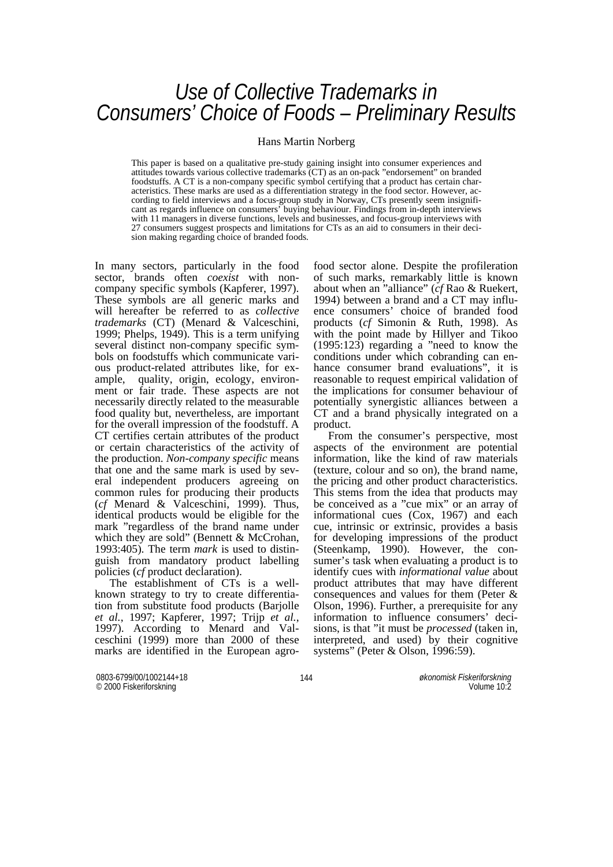# *Use of Collective Trademarks in Consumers' Choice of Foods – Preliminary Results*

#### Hans Martin Norberg

This paper is based on a qualitative pre-study gaining insight into consumer experiences and attitudes towards various collective trademarks (CT) as an on-pack "endorsement" on branded foodstuffs. A CT is a non-company specific symbol certifying that a product has certain characteristics. These marks are used as a differentiation strategy in the food sector. However, according to field interviews and a focus-group study in Norway, CTs presently seem insignificant as regards influence on consumers' buying behaviour. Findings from in-depth interviews with 11 managers in diverse functions, levels and businesses, and focus-group interviews with 27 consumers suggest prospects and limitations for CTs as an aid to consumers in their decision making regarding choice of branded foods.

In many sectors, particularly in the food sector, brands often *coexist* with noncompany specific symbols (Kapferer, 1997). These symbols are all generic marks and will hereafter be referred to as *collective trademarks* (CT) (Menard & Valceschini, 1999; Phelps, 1949). This is a term unifying several distinct non-company specific symbols on foodstuffs which communicate various product-related attributes like, for example, quality, origin, ecology, environment or fair trade. These aspects are not necessarily directly related to the measurable food quality but, nevertheless, are important for the overall impression of the foodstuff. A CT certifies certain attributes of the product or certain characteristics of the activity of the production. *Non-company specific* means that one and the same mark is used by several independent producers agreeing on common rules for producing their products (*cf* Menard & Valceschini, 1999). Thus, identical products would be eligible for the mark "regardless of the brand name under which they are sold" (Bennett & McCrohan, 1993:405). The term *mark* is used to distinguish from mandatory product labelling policies (*cf* product declaration).

The establishment of CTs is a wellknown strategy to try to create differentiation from substitute food products (Barjolle *et al.*, 1997; Kapferer, 1997; Trijp *et al.*, 1997). According to Menard and Valceschini (1999) more than 2000 of these marks are identified in the European agrofood sector alone. Despite the profileration of such marks, remarkably little is known about when an "alliance" (*cf* Rao & Ruekert, 1994) between a brand and a CT may influence consumers' choice of branded food products (*cf* Simonin & Ruth, 1998). As with the point made by Hillyer and Tikoo (1995:123) regarding a "need to know the conditions under which cobranding can enhance consumer brand evaluations", it is reasonable to request empirical validation of the implications for consumer behaviour of potentially synergistic alliances between a CT and a brand physically integrated on a product.

 From the consumer's perspective, most aspects of the environment are potential information, like the kind of raw materials (texture, colour and so on), the brand name, the pricing and other product characteristics. This stems from the idea that products may be conceived as a "cue mix" or an array of informational cues (Cox, 1967) and each cue, intrinsic or extrinsic, provides a basis for developing impressions of the product (Steenkamp, 1990). However, the consumer's task when evaluating a product is to identify cues with *informational value* about product attributes that may have different consequences and values for them (Peter & Olson, 1996). Further, a prerequisite for any information to influence consumers' decisions, is that "it must be *processed* (taken in, interpreted, and used) by their cognitive systems" (Peter & Olson, 1996:59).

0803-6799/00/1002144+18 144 © 2000 Fiskeriforskning

*økonomisk Fiskeriforskning* Volume 10<sup>.5</sup>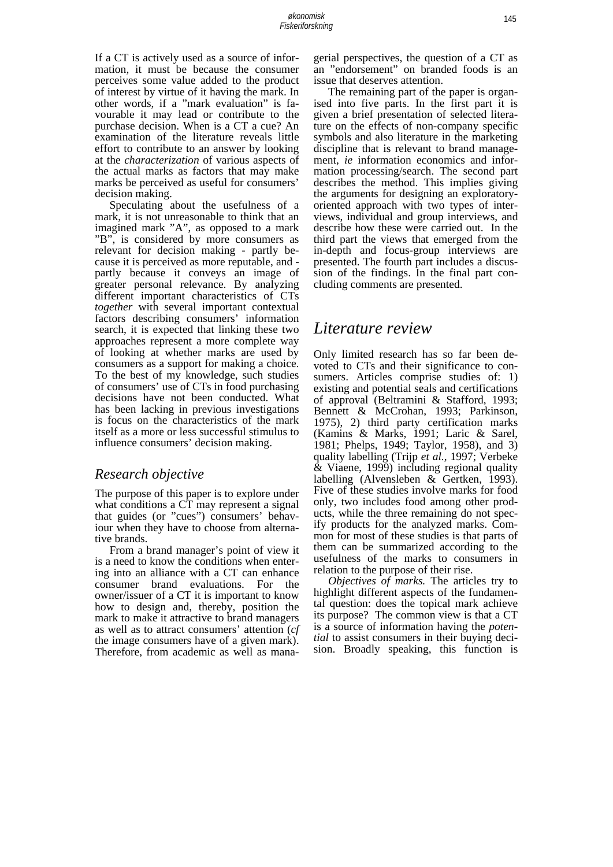If a CT is actively used as a source of information, it must be because the consumer perceives some value added to the product of interest by virtue of it having the mark. In other words, if a "mark evaluation" is favourable it may lead or contribute to the purchase decision. When is a CT a cue? An examination of the literature reveals little effort to contribute to an answer by looking at the *characterization* of various aspects of the actual marks as factors that may make marks be perceived as useful for consumers' decision making.

 Speculating about the usefulness of a mark, it is not unreasonable to think that an imagined mark "A", as opposed to a mark "B", is considered by more consumers as relevant for decision making - partly because it is perceived as more reputable, and partly because it conveys an image of greater personal relevance. By analyzing different important characteristics of CTs *together* with several important contextual factors describing consumers' information search, it is expected that linking these two approaches represent a more complete way of looking at whether marks are used by consumers as a support for making a choice. To the best of my knowledge, such studies of consumers' use of CTs in food purchasing decisions have not been conducted. What has been lacking in previous investigations is focus on the characteristics of the mark itself as a more or less successful stimulus to influence consumers' decision making.

### *Research objective*

The purpose of this paper is to explore under what conditions a CT may represent a signal that guides (or "cues") consumers' behaviour when they have to choose from alternative brands.

 From a brand manager's point of view it is a need to know the conditions when entering into an alliance with a CT can enhance consumer brand evaluations. For the owner/issuer of a CT it is important to know how to design and, thereby, position the mark to make it attractive to brand managers as well as to attract consumers' attention (*cf* the image consumers have of a given mark). Therefore, from academic as well as mana-

gerial perspectives, the question of a CT as an "endorsement" on branded foods is an issue that deserves attention.

 The remaining part of the paper is organised into five parts. In the first part it is given a brief presentation of selected literature on the effects of non-company specific symbols and also literature in the marketing discipline that is relevant to brand management, *ie* information economics and information processing/search. The second part describes the method. This implies giving the arguments for designing an exploratoryoriented approach with two types of interviews, individual and group interviews, and describe how these were carried out. In the third part the views that emerged from the in-depth and focus-group interviews are presented. The fourth part includes a discussion of the findings. In the final part concluding comments are presented.

# *Literature review*

Only limited research has so far been devoted to CTs and their significance to consumers. Articles comprise studies of: 1) existing and potential seals and certifications of approval (Beltramini & Stafford, 1993; Bennett & McCrohan, 1993; Parkinson, 1975), 2) third party certification marks (Kamins & Marks, 1991; Laric & Sarel, 1981; Phelps, 1949; Taylor, 1958), and 3) quality labelling (Trijp *et al.*, 1997; Verbeke  $\&$  Viaene, 1999) including regional quality labelling (Alvensleben & Gertken, 1993). Five of these studies involve marks for food only, two includes food among other products, while the three remaining do not specify products for the analyzed marks. Common for most of these studies is that parts of them can be summarized according to the usefulness of the marks to consumers in relation to the purpose of their rise.

 *Objectives of marks.* The articles try to highlight different aspects of the fundamental question: does the topical mark achieve its purpose? The common view is that a CT is a source of information having the *potential* to assist consumers in their buying decision. Broadly speaking, this function is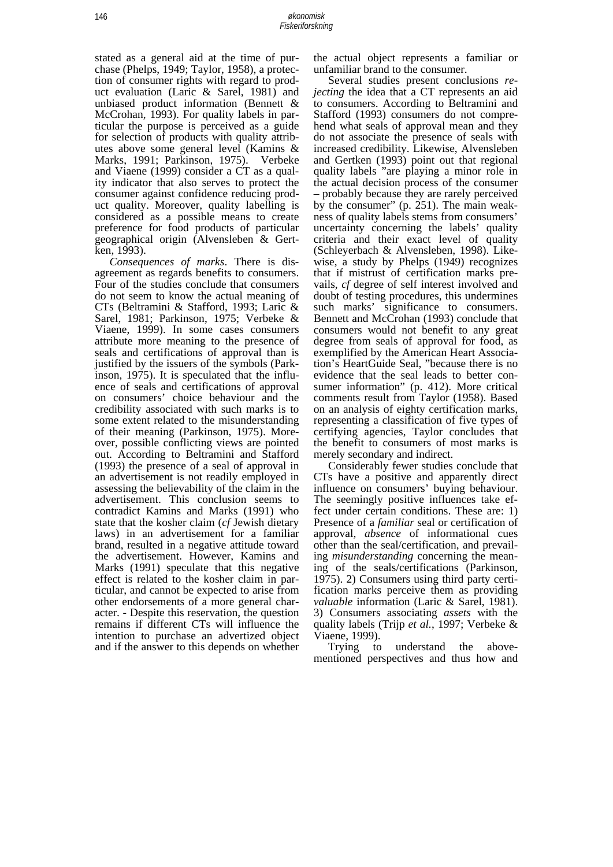stated as a general aid at the time of purchase (Phelps, 1949; Taylor, 1958), a protection of consumer rights with regard to product evaluation (Laric & Sarel, 1981) and unbiased product information (Bennett & McCrohan, 1993). For quality labels in particular the purpose is perceived as a guide for selection of products with quality attributes above some general level (Kamins & Marks, 1991; Parkinson, 1975). Verbeke and Viaene (1999) consider a CT as a quality indicator that also serves to protect the consumer against confidence reducing product quality. Moreover, quality labelling is considered as a possible means to create preference for food products of particular geographical origin (Alvensleben & Gertken, 1993).

*Consequences of marks*. There is disagreement as regards benefits to consumers. Four of the studies conclude that consumers do not seem to know the actual meaning of CTs (Beltramini & Stafford, 1993; Laric & Sarel, 1981; Parkinson, 1975; Verbeke & Viaene, 1999). In some cases consumers attribute more meaning to the presence of seals and certifications of approval than is justified by the issuers of the symbols (Parkinson, 1975). It is speculated that the influence of seals and certifications of approval on consumers' choice behaviour and the credibility associated with such marks is to some extent related to the misunderstanding of their meaning (Parkinson, 1975). Moreover, possible conflicting views are pointed out. According to Beltramini and Stafford (1993) the presence of a seal of approval in an advertisement is not readily employed in assessing the believability of the claim in the advertisement. This conclusion seems to contradict Kamins and Marks (1991) who state that the kosher claim (*cf* Jewish dietary laws) in an advertisement for a familiar brand, resulted in a negative attitude toward the advertisement. However, Kamins and Marks (1991) speculate that this negative effect is related to the kosher claim in particular, and cannot be expected to arise from other endorsements of a more general character. - Despite this reservation, the question remains if different CTs will influence the intention to purchase an advertized object and if the answer to this depends on whether

the actual object represents a familiar or unfamiliar brand to the consumer.

 Several studies present conclusions *rejecting* the idea that a CT represents an aid to consumers. According to Beltramini and Stafford (1993) consumers do not comprehend what seals of approval mean and they do not associate the presence of seals with increased credibility. Likewise, Alvensleben and Gertken (1993) point out that regional quality labels "are playing a minor role in the actual decision process of the consumer – probably because they are rarely perceived by the consumer" (p. 251). The main weakness of quality labels stems from consumers' uncertainty concerning the labels' quality criteria and their exact level of quality (Schleyerbach & Alvensleben, 1998). Likewise, a study by Phelps (1949) recognizes that if mistrust of certification marks prevails, *cf* degree of self interest involved and doubt of testing procedures, this undermines such marks' significance to consumers. Bennett and McCrohan (1993) conclude that consumers would not benefit to any great degree from seals of approval for food, as exemplified by the American Heart Association's HeartGuide Seal, "because there is no evidence that the seal leads to better consumer information" (p. 412). More critical comments result from Taylor (1958). Based on an analysis of eighty certification marks, representing a classification of five types of certifying agencies, Taylor concludes that the benefit to consumers of most marks is merely secondary and indirect.

 Considerably fewer studies conclude that CTs have a positive and apparently direct influence on consumers' buying behaviour. The seemingly positive influences take effect under certain conditions. These are: 1) Presence of a *familiar* seal or certification of approval, *absence* of informational cues other than the seal/certification, and prevailing *misunderstanding* concerning the meaning of the seals/certifications (Parkinson, 1975). 2) Consumers using third party certification marks perceive them as providing *valuable* information (Laric & Sarel, 1981). 3) Consumers associating *assets* with the quality labels (Trijp *et al.*, 1997; Verbeke & Viaene, 1999).

 Trying to understand the abovementioned perspectives and thus how and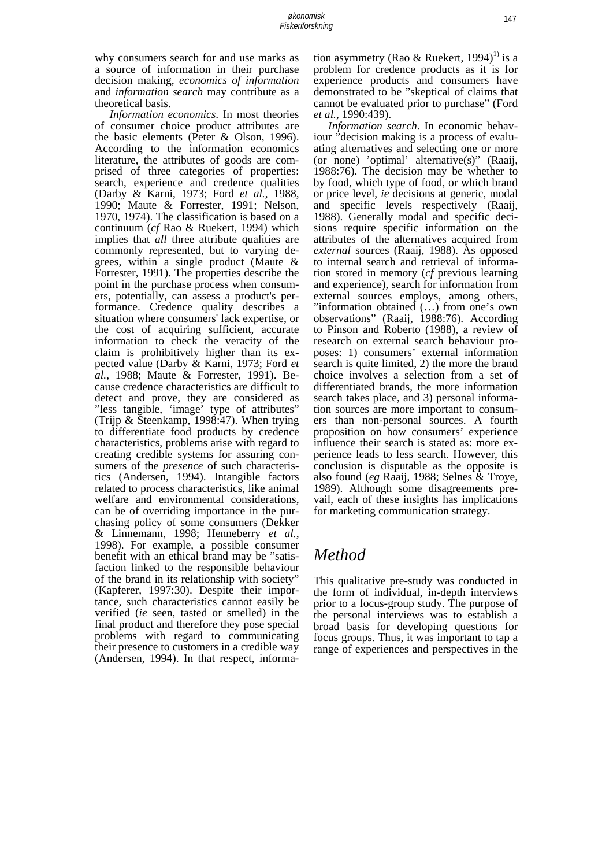why consumers search for and use marks as a source of information in their purchase decision making, *economics of information* and *information search* may contribute as a theoretical basis.

 *Information economics*. In most theories of consumer choice product attributes are the basic elements (Peter & Olson, 1996). According to the information economics literature, the attributes of goods are comprised of three categories of properties: search, experience and credence qualities (Darby & Karni, 1973; Ford *et al.*, 1988, 1990; Maute & Forrester, 1991; Nelson, 1970, 1974). The classification is based on a continuum (*cf* Rao & Ruekert, 1994) which implies that *all* three attribute qualities are commonly represented, but to varying degrees, within a single product (Maute & Forrester, 1991). The properties describe the point in the purchase process when consumers, potentially, can assess a product's performance. Credence quality describes a situation where consumers' lack expertise, or the cost of acquiring sufficient, accurate information to check the veracity of the claim is prohibitively higher than its expected value (Darby & Karni, 1973; Ford *et al.*, 1988; Maute & Forrester, 1991). Because credence characteristics are difficult to detect and prove, they are considered as "less tangible, 'image' type of attributes" (Trijp & Steenkamp, 1998:47). When trying to differentiate food products by credence characteristics, problems arise with regard to creating credible systems for assuring consumers of the *presence* of such characteristics (Andersen, 1994). Intangible factors related to process characteristics, like animal welfare and environmental considerations, can be of overriding importance in the purchasing policy of some consumers (Dekker & Linnemann, 1998; Henneberry *et al.*, 1998). For example, a possible consumer benefit with an ethical brand may be "satisfaction linked to the responsible behaviour of the brand in its relationship with society" (Kapferer, 1997:30). Despite their importance, such characteristics cannot easily be verified (*ie* seen, tasted or smelled) in the final product and therefore they pose special problems with regard to communicating their presence to customers in a credible way (Andersen, 1994). In that respect, informa-

tion asymmetry (Rao & Ruekert, 1994)<sup>1)</sup> is a problem for credence products as it is for experience products and consumers have demonstrated to be "skeptical of claims that cannot be evaluated prior to purchase" (Ford *et al.*, 1990:439).

 *Information search*. In economic behaviour "decision making is a process of evaluating alternatives and selecting one or more (or none) 'optimal' alternative(s)" (Raaij, 1988:76). The decision may be whether to by food, which type of food, or which brand or price level, *ie* decisions at generic, modal and specific levels respectively (Raaij, 1988). Generally modal and specific decisions require specific information on the attributes of the alternatives acquired from *external* sources (Raaij, 1988). As opposed to internal search and retrieval of information stored in memory (*cf* previous learning and experience), search for information from external sources employs, among others, "information obtained (…) from one's own observations" (Raaij, 1988:76). According to Pinson and Roberto (1988), a review of research on external search behaviour proposes: 1) consumers' external information search is quite limited, 2) the more the brand choice involves a selection from a set of differentiated brands, the more information search takes place, and 3) personal information sources are more important to consumers than non-personal sources. A fourth proposition on how consumers' experience influence their search is stated as: more experience leads to less search. However, this conclusion is disputable as the opposite is also found (*eg* Raaij, 1988; Selnes & Troye, 1989). Although some disagreements prevail, each of these insights has implications for marketing communication strategy.

# *Method*

This qualitative pre-study was conducted in the form of individual, in-depth interviews prior to a focus-group study. The purpose of the personal interviews was to establish a broad basis for developing questions for focus groups. Thus, it was important to tap a range of experiences and perspectives in the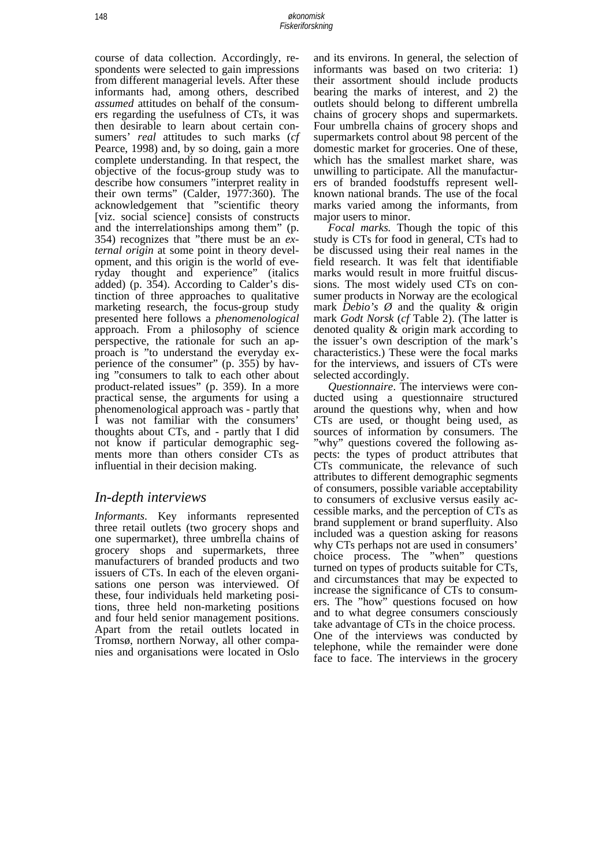course of data collection. Accordingly, respondents were selected to gain impressions from different managerial levels. After these informants had, among others, described *assumed* attitudes on behalf of the consumers regarding the usefulness of CTs, it was then desirable to learn about certain consumers' *real* attitudes to such marks (*cf* Pearce, 1998) and, by so doing, gain a more complete understanding. In that respect, the objective of the focus-group study was to describe how consumers "interpret reality in their own terms" (Calder, 1977:360). The acknowledgement that "scientific theory [viz. social science] consists of constructs and the interrelationships among them" (p. 354) recognizes that "there must be an *external origin* at some point in theory development, and this origin is the world of everyday thought and experience" (italics added) (p. 354). According to Calder's distinction of three approaches to qualitative marketing research, the focus-group study presented here follows a *phenomenological* approach. From a philosophy of science perspective, the rationale for such an approach is "to understand the everyday experience of the consumer" (p. 355) by having "consumers to talk to each other about product-related issues" (p. 359). In a more practical sense, the arguments for using a phenomenological approach was - partly that I was not familiar with the consumers' thoughts about CTs, and - partly that I did not know if particular demographic segments more than others consider CTs as influential in their decision making.

### *In-depth interviews*

*Informants*. Key informants represented three retail outlets (two grocery shops and one supermarket), three umbrella chains of grocery shops and supermarkets, three manufacturers of branded products and two issuers of CTs. In each of the eleven organisations one person was interviewed. Of these, four individuals held marketing positions, three held non-marketing positions and four held senior management positions. Apart from the retail outlets located in Tromsø, northern Norway, all other companies and organisations were located in Oslo

and its environs. In general, the selection of informants was based on two criteria: 1) their assortment should include products bearing the marks of interest, and 2) the outlets should belong to different umbrella chains of grocery shops and supermarkets. Four umbrella chains of grocery shops and supermarkets control about 98 percent of the domestic market for groceries. One of these, which has the smallest market share, was unwilling to participate. All the manufacturers of branded foodstuffs represent wellknown national brands. The use of the focal marks varied among the informants, from major users to minor.

 *Focal marks.* Though the topic of this study is CTs for food in general, CTs had to be discussed using their real names in the field research. It was felt that identifiable marks would result in more fruitful discussions. The most widely used CTs on consumer products in Norway are the ecological mark *Debio's Ø* and the quality & origin mark *Godt Norsk* (*cf* Table 2). (The latter is denoted quality & origin mark according to the issuer's own description of the mark's characteristics.) These were the focal marks for the interviews, and issuers of CTs were selected accordingly.

 *Questionnaire*. The interviews were conducted using a questionnaire structured around the questions why, when and how CTs are used, or thought being used, as sources of information by consumers. The "why" questions covered the following aspects: the types of product attributes that CTs communicate, the relevance of such attributes to different demographic segments of consumers, possible variable acceptability to consumers of exclusive versus easily accessible marks, and the perception of CTs as brand supplement or brand superfluity. Also included was a question asking for reasons why CTs perhaps not are used in consumers' choice process. The "when" questions turned on types of products suitable for CTs, and circumstances that may be expected to increase the significance of CTs to consumers. The "how" questions focused on how and to what degree consumers consciously take advantage of CTs in the choice process. One of the interviews was conducted by telephone, while the remainder were done face to face. The interviews in the grocery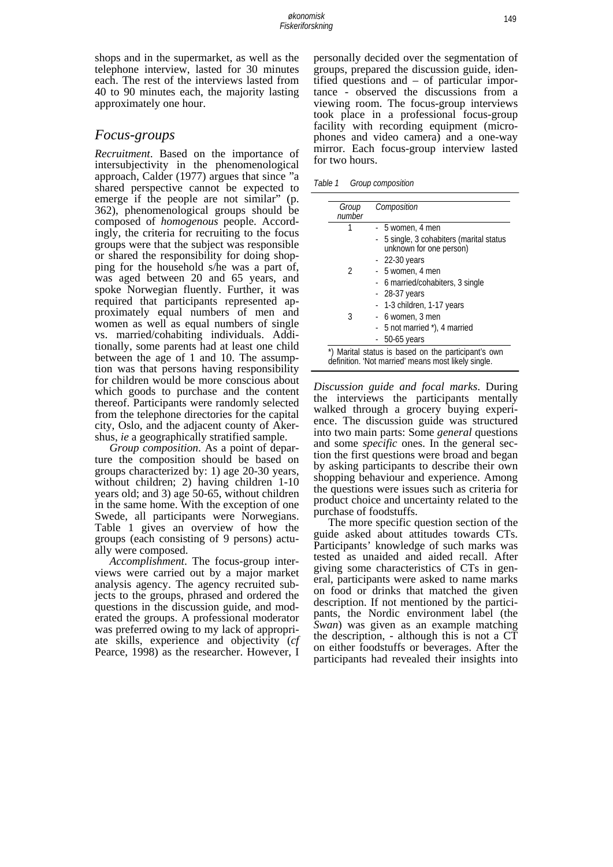shops and in the supermarket, as well as the telephone interview, lasted for 30 minutes each. The rest of the interviews lasted from 40 to 90 minutes each, the majority lasting approximately one hour.

#### *Focus-groups*

*Recruitment*. Based on the importance of intersubjectivity in the phenomenological approach, Calder (1977) argues that since "a shared perspective cannot be expected to emerge if the people are not similar" (p. 362), phenomenological groups should be composed of *homogenous* people. Accordingly, the criteria for recruiting to the focus groups were that the subject was responsible or shared the responsibility for doing shopping for the household s/he was a part of, was aged between 20 and 65 years, and spoke Norwegian fluently. Further, it was required that participants represented approximately equal numbers of men and women as well as equal numbers of single vs. married/cohabiting individuals. Additionally, some parents had at least one child between the age of 1 and 10. The assumption was that persons having responsibility for children would be more conscious about which goods to purchase and the content thereof. Participants were randomly selected from the telephone directories for the capital city, Oslo, and the adjacent county of Akershus, *ie* a geographically stratified sample.

 *Group composition*. As a point of departure the composition should be based on groups characterized by: 1) age 20-30 years, without children; 2) having children 1-10 years old; and 3) age 50-65, without children in the same home. With the exception of one Swede, all participants were Norwegians. Table 1 gives an overview of how the groups (each consisting of 9 persons) actually were composed.

 *Accomplishment*. The focus-group interviews were carried out by a major market analysis agency. The agency recruited subjects to the groups, phrased and ordered the questions in the discussion guide, and moderated the groups. A professional moderator was preferred owing to my lack of appropriate skills, experience and objectivity (*cf* Pearce, 1998) as the researcher. However, I

personally decided over the segmentation of groups, prepared the discussion guide, identified questions and – of particular importance - observed the discussions from a viewing room. The focus-group interviews took place in a professional focus-group facility with recording equipment (microphones and video camera) and a one-way mirror. Each focus-group interview lasted for two hours.

*Table 1 Group composition* 

| Group<br>number | Composition                                                                                                |
|-----------------|------------------------------------------------------------------------------------------------------------|
|                 | - 5 women, 4 men                                                                                           |
|                 | 5 single, 3 cohabiters (marital status<br>÷<br>unknown for one person)                                     |
|                 | $-22-30$ years                                                                                             |
| 2               | - 5 women, 4 men                                                                                           |
|                 | - 6 married/cohabiters, 3 single                                                                           |
|                 | $-28-37$ years                                                                                             |
|                 | - 1-3 children, 1-17 years                                                                                 |
| 3               | - 6 women, 3 men                                                                                           |
|                 | - 5 not married *), 4 married                                                                              |
|                 | $-50-65$ years                                                                                             |
|                 | *) Marital status is based on the participant's own<br>definition. 'Not married' means most likely single. |

*Discussion guide and focal marks*. During the interviews the participants mentally walked through a grocery buying experience. The discussion guide was structured into two main parts: Some *general* questions and some *specific* ones. In the general section the first questions were broad and began by asking participants to describe their own shopping behaviour and experience. Among the questions were issues such as criteria for product choice and uncertainty related to the purchase of foodstuffs.

 The more specific question section of the guide asked about attitudes towards CTs. Participants' knowledge of such marks was tested as unaided and aided recall. After giving some characteristics of CTs in general, participants were asked to name marks on food or drinks that matched the given description. If not mentioned by the participants, the Nordic environment label (the *Swan*) was given as an example matching the description, - although this is not a CT on either foodstuffs or beverages. After the participants had revealed their insights into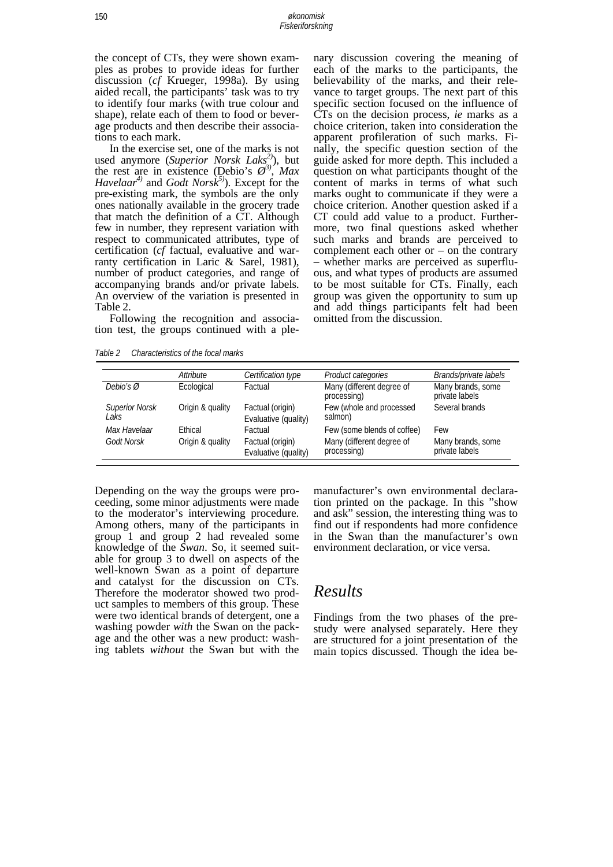the concept of CTs, they were shown examples as probes to provide ideas for further discussion (*cf* Krueger, 1998a). By using aided recall, the participants' task was to try to identify four marks (with true colour and shape), relate each of them to food or beverage products and then describe their associations to each mark.

 In the exercise set, one of the marks is not used anymore (*Superior Norsk Laks2)*), but the rest are in existence (Debio's  $\varnothing^3$ ), *Max Havelaar<sup>4)</sup>* and *Godt Norsk<sup>5)</sup>*). Except for the pre-existing mark, the symbols are the only ones nationally available in the grocery trade that match the definition of a CT. Although few in number, they represent variation with respect to communicated attributes, type of certification (*cf* factual, evaluative and warranty certification in Laric & Sarel, 1981), number of product categories, and range of accompanying brands and/or private labels. An overview of the variation is presented in Table 2.

 Following the recognition and association test, the groups continued with a plenary discussion covering the meaning of each of the marks to the participants, the believability of the marks, and their relevance to target groups. The next part of this specific section focused on the influence of CTs on the decision process, *ie* marks as a choice criterion, taken into consideration the apparent profileration of such marks. Finally, the specific question section of the guide asked for more depth. This included a question on what participants thought of the content of marks in terms of what such marks ought to communicate if they were a choice criterion. Another question asked if a CT could add value to a product. Furthermore, two final questions asked whether such marks and brands are perceived to complement each other or  $-$  on the contrary – whether marks are perceived as superfluous, and what types of products are assumed to be most suitable for CTs. Finally, each group was given the opportunity to sum up and add things participants felt had been omitted from the discussion.

*Table 2 Characteristics of the focal marks* 

|                               | Attribute                          | Certification type                                  | Product categories                                                      | Brands/private labels                      |
|-------------------------------|------------------------------------|-----------------------------------------------------|-------------------------------------------------------------------------|--------------------------------------------|
| Debio's $\emptyset$           | Ecological                         | Factual                                             | Many (different degree of<br>processing)                                | Many brands, some<br>private labels        |
| <b>Superior Norsk</b><br>Laks | Origin & quality                   | Factual (origin)<br>Evaluative (quality)            | Few (whole and processed<br>salmon)                                     | Several brands                             |
| Max Havelaar<br>Godt Norsk    | <b>Fthical</b><br>Origin & quality | Factual<br>Factual (origin)<br>Evaluative (quality) | Few (some blends of coffee)<br>Many (different degree of<br>processing) | Few<br>Many brands, some<br>private labels |

Depending on the way the groups were proceeding, some minor adjustments were made to the moderator's interviewing procedure. Among others, many of the participants in group 1 and group 2 had revealed some knowledge of the *Swan*. So, it seemed suitable for group 3 to dwell on aspects of the well-known Swan as a point of departure and catalyst for the discussion on CTs. Therefore the moderator showed two product samples to members of this group. These were two identical brands of detergent, one a washing powder *with* the Swan on the package and the other was a new product: washing tablets *without* the Swan but with the

manufacturer's own environmental declaration printed on the package. In this "show and ask" session, the interesting thing was to find out if respondents had more confidence in the Swan than the manufacturer's own environment declaration, or vice versa.

# *Results*

Findings from the two phases of the prestudy were analysed separately. Here they are structured for a joint presentation of the main topics discussed. Though the idea be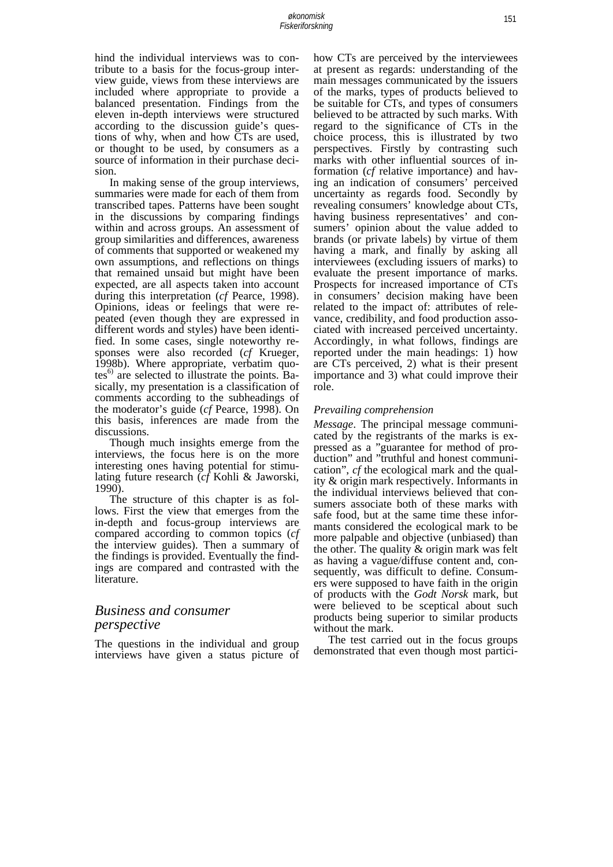hind the individual interviews was to contribute to a basis for the focus-group interview guide, views from these interviews are included where appropriate to provide a balanced presentation. Findings from the eleven in-depth interviews were structured according to the discussion guide's questions of why, when and how CTs are used, or thought to be used, by consumers as a source of information in their purchase decision.

 In making sense of the group interviews, summaries were made for each of them from transcribed tapes. Patterns have been sought in the discussions by comparing findings within and across groups. An assessment of group similarities and differences, awareness of comments that supported or weakened my own assumptions, and reflections on things that remained unsaid but might have been expected, are all aspects taken into account during this interpretation (*cf* Pearce, 1998). Opinions, ideas or feelings that were repeated (even though they are expressed in different words and styles) have been identified. In some cases, single noteworthy responses were also recorded (*cf* Krueger, 1998b). Where appropriate, verbatim quo $tes<sup>6</sup>$  are selected to illustrate the points. Basically, my presentation is a classification of comments according to the subheadings of the moderator's guide (*cf* Pearce, 1998). On this basis, inferences are made from the discussions.

 Though much insights emerge from the interviews, the focus here is on the more interesting ones having potential for stimulating future research (*cf* Kohli & Jaworski, 1990).

 The structure of this chapter is as follows. First the view that emerges from the in-depth and focus-group interviews are compared according to common topics (*cf* the interview guides). Then a summary of the findings is provided. Eventually the findings are compared and contrasted with the literature.

### *Business and consumer perspective*

The questions in the individual and group interviews have given a status picture of how CTs are perceived by the interviewees at present as regards: understanding of the main messages communicated by the issuers of the marks, types of products believed to be suitable for CTs, and types of consumers believed to be attracted by such marks. With regard to the significance of CTs in the choice process, this is illustrated by two perspectives. Firstly by contrasting such marks with other influential sources of information (*cf* relative importance) and having an indication of consumers' perceived uncertainty as regards food. Secondly by revealing consumers' knowledge about CTs, having business representatives' and consumers' opinion about the value added to brands (or private labels) by virtue of them having a mark, and finally by asking all interviewees (excluding issuers of marks) to evaluate the present importance of marks. Prospects for increased importance of CTs in consumers' decision making have been related to the impact of: attributes of relevance, credibility, and food production associated with increased perceived uncertainty. Accordingly, in what follows, findings are reported under the main headings: 1) how are CTs perceived, 2) what is their present importance and 3) what could improve their role.

#### *Prevailing comprehension*

*Message*. The principal message communicated by the registrants of the marks is expressed as a "guarantee for method of production" and "truthful and honest communication", *cf* the ecological mark and the quality & origin mark respectively. Informants in the individual interviews believed that consumers associate both of these marks with safe food, but at the same time these informants considered the ecological mark to be more palpable and objective (unbiased) than the other. The quality & origin mark was felt as having a vague/diffuse content and, consequently, was difficult to define. Consumers were supposed to have faith in the origin of products with the *Godt Norsk* mark, but were believed to be sceptical about such products being superior to similar products without the mark.

 The test carried out in the focus groups demonstrated that even though most partici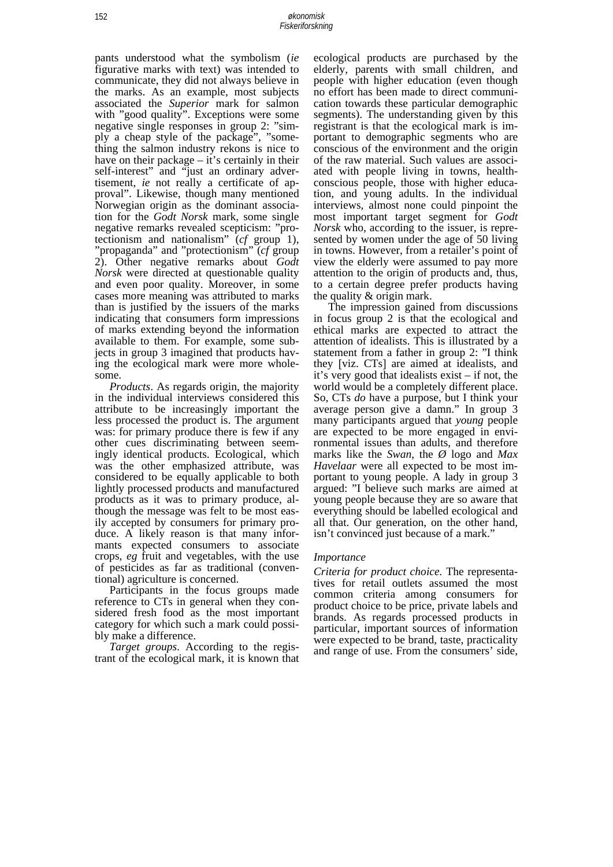pants understood what the symbolism (*ie* figurative marks with text) was intended to communicate, they did not always believe in the marks. As an example, most subjects associated the *Superior* mark for salmon with "good quality". Exceptions were some negative single responses in group 2: "simply a cheap style of the package", "something the salmon industry rekons is nice to have on their package – it's certainly in their self-interest" and "just an ordinary advertisement, *ie* not really a certificate of approval". Likewise, though many mentioned Norwegian origin as the dominant association for the *Godt Norsk* mark, some single negative remarks revealed scepticism: "protectionism and nationalism" (*cf* group 1), "propaganda" and "protectionism" (*cf* group 2). Other negative remarks about *Godt Norsk* were directed at questionable quality and even poor quality. Moreover, in some cases more meaning was attributed to marks than is justified by the issuers of the marks indicating that consumers form impressions of marks extending beyond the information available to them. For example, some subjects in group 3 imagined that products having the ecological mark were more wholesome.

 *Products*. As regards origin, the majority in the individual interviews considered this attribute to be increasingly important the less processed the product is. The argument was: for primary produce there is few if any other cues discriminating between seemingly identical products. Ecological, which was the other emphasized attribute, was considered to be equally applicable to both lightly processed products and manufactured products as it was to primary produce, although the message was felt to be most easily accepted by consumers for primary produce. A likely reason is that many informants expected consumers to associate crops, *eg* fruit and vegetables, with the use of pesticides as far as traditional (conventional) agriculture is concerned.

 Participants in the focus groups made reference to CTs in general when they considered fresh food as the most important category for which such a mark could possibly make a difference.

 *Target groups*. According to the registrant of the ecological mark, it is known that ecological products are purchased by the elderly, parents with small children, and people with higher education (even though no effort has been made to direct communication towards these particular demographic segments). The understanding given by this registrant is that the ecological mark is important to demographic segments who are conscious of the environment and the origin of the raw material. Such values are associated with people living in towns, healthconscious people, those with higher education, and young adults. In the individual interviews, almost none could pinpoint the most important target segment for *Godt Norsk* who, according to the issuer, is represented by women under the age of 50 living in towns. However, from a retailer's point of view the elderly were assumed to pay more attention to the origin of products and, thus, to a certain degree prefer products having the quality & origin mark.

 The impression gained from discussions in focus group 2 is that the ecological and ethical marks are expected to attract the attention of idealists. This is illustrated by a statement from a father in group 2: "I think they [viz. CTs] are aimed at idealists, and it's very good that idealists exist – if not, the world would be a completely different place. So, CTs *do* have a purpose, but I think your average person give a damn." In group 3 many participants argued that *young* people are expected to be more engaged in environmental issues than adults, and therefore marks like the *Swan*, the *Ø* logo and *Max Havelaar* were all expected to be most important to young people. A lady in group 3 argued: "I believe such marks are aimed at young people because they are so aware that everything should be labelled ecological and all that. Our generation, on the other hand, isn't convinced just because of a mark."

#### *Importance*

*Criteria for product choice.* The representatives for retail outlets assumed the most common criteria among consumers for product choice to be price, private labels and brands. As regards processed products in particular, important sources of information were expected to be brand, taste, practicality and range of use. From the consumers' side,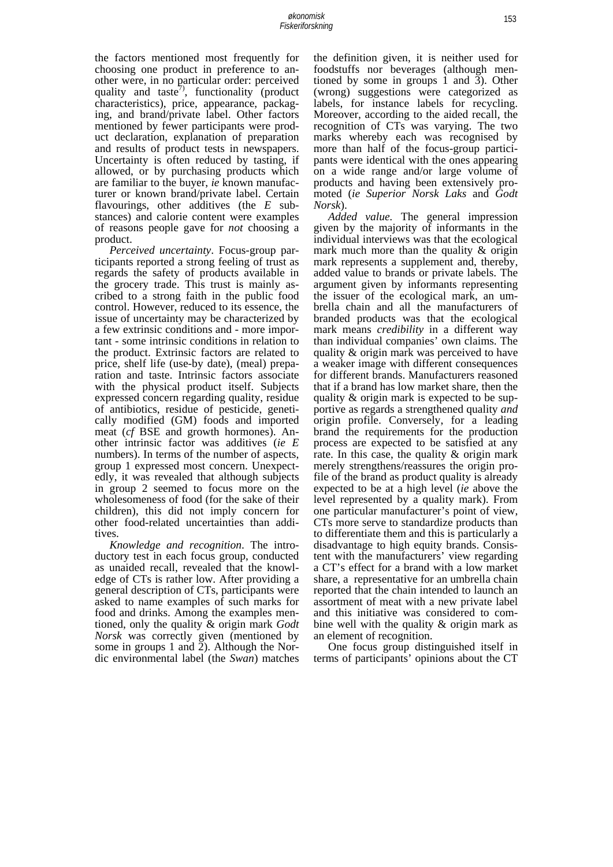the factors mentioned most frequently for choosing one product in preference to another were, in no particular order: perceived quality and taste<sup>7</sup>, functionality (product characteristics), price, appearance, packaging, and brand/private label. Other factors mentioned by fewer participants were product declaration, explanation of preparation and results of product tests in newspapers. Uncertainty is often reduced by tasting, if allowed, or by purchasing products which are familiar to the buyer, *ie* known manufacturer or known brand/private label. Certain flavourings, other additives (the *E* substances) and calorie content were examples of reasons people gave for *not* choosing a product.

 *Perceived uncertainty*. Focus-group participants reported a strong feeling of trust as regards the safety of products available in the grocery trade. This trust is mainly ascribed to a strong faith in the public food control. However, reduced to its essence, the issue of uncertainty may be characterized by a few extrinsic conditions and - more important - some intrinsic conditions in relation to the product. Extrinsic factors are related to price, shelf life (use-by date), (meal) preparation and taste. Intrinsic factors associate with the physical product itself. Subjects expressed concern regarding quality, residue of antibiotics, residue of pesticide, genetically modified (GM) foods and imported meat (*cf* BSE and growth hormones). Another intrinsic factor was additives (*ie E* numbers). In terms of the number of aspects, group 1 expressed most concern. Unexpectedly, it was revealed that although subjects in group 2 seemed to focus more on the wholesomeness of food (for the sake of their children), this did not imply concern for other food-related uncertainties than additives.

 *Knowledge and recognition*. The introductory test in each focus group, conducted as unaided recall, revealed that the knowledge of CTs is rather low. After providing a general description of CTs, participants were asked to name examples of such marks for food and drinks. Among the examples mentioned, only the quality & origin mark *Godt Norsk* was correctly given (mentioned by some in groups 1 and 2). Although the Nordic environmental label (the *Swan*) matches

the definition given, it is neither used for foodstuffs nor beverages (although mentioned by some in groups 1 and  $\bar{3}$ ). Other (wrong) suggestions were categorized as labels, for instance labels for recycling. Moreover, according to the aided recall, the recognition of CTs was varying. The two marks whereby each was recognised by more than half of the focus-group participants were identical with the ones appearing on a wide range and/or large volume of products and having been extensively promoted (*ie Superior Norsk Laks* and *Godt Norsk*).

 *Added value.* The general impression given by the majority of informants in the individual interviews was that the ecological mark much more than the quality & origin mark represents a supplement and, thereby, added value to brands or private labels. The argument given by informants representing the issuer of the ecological mark, an umbrella chain and all the manufacturers of branded products was that the ecological mark means *credibility* in a different way than individual companies' own claims. The quality & origin mark was perceived to have a weaker image with different consequences for different brands. Manufacturers reasoned that if a brand has low market share, then the quality & origin mark is expected to be supportive as regards a strengthened quality *and* origin profile. Conversely, for a leading brand the requirements for the production process are expected to be satisfied at any rate. In this case, the quality & origin mark merely strengthens/reassures the origin profile of the brand as product quality is already expected to be at a high level (*ie* above the level represented by a quality mark). From one particular manufacturer's point of view, CTs more serve to standardize products than to differentiate them and this is particularly a disadvantage to high equity brands. Consistent with the manufacturers' view regarding a CT's effect for a brand with a low market share, a representative for an umbrella chain reported that the chain intended to launch an assortment of meat with a new private label and this initiative was considered to combine well with the quality & origin mark as an element of recognition.

 One focus group distinguished itself in terms of participants' opinions about the CT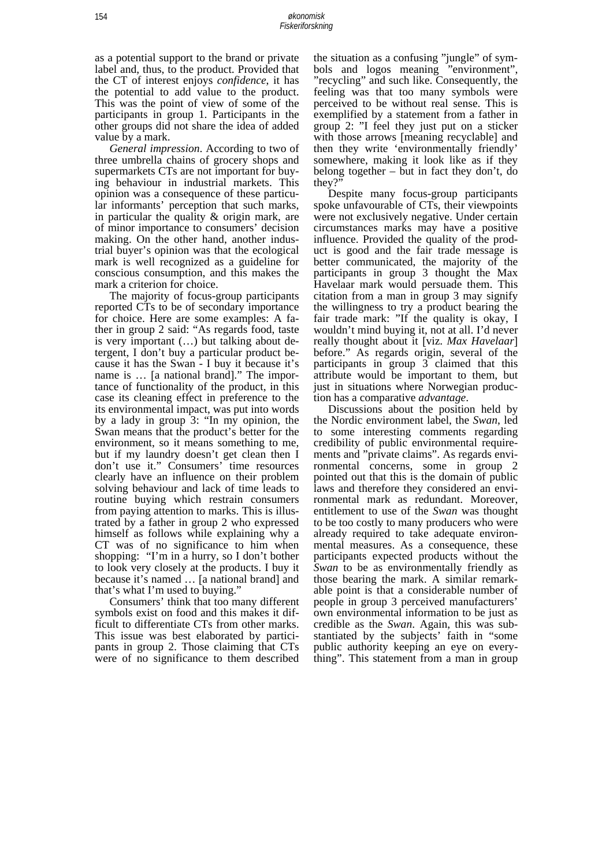as a potential support to the brand or private label and, thus, to the product. Provided that the CT of interest enjoys *confidence*, it has the potential to add value to the product. This was the point of view of some of the participants in group 1. Participants in the other groups did not share the idea of added value by a mark.

 *General impression*. According to two of three umbrella chains of grocery shops and supermarkets CTs are not important for buying behaviour in industrial markets. This opinion was a consequence of these particular informants' perception that such marks, in particular the quality & origin mark, are of minor importance to consumers' decision making. On the other hand, another industrial buyer's opinion was that the ecological mark is well recognized as a guideline for conscious consumption, and this makes the mark a criterion for choice.

 The majority of focus-group participants reported CTs to be of secondary importance for choice. Here are some examples: A father in group 2 said: "As regards food, taste is very important (…) but talking about detergent, I don't buy a particular product because it has the Swan - I buy it because it's name is … [a national brand]." The importance of functionality of the product, in this case its cleaning effect in preference to the its environmental impact, was put into words by a lady in group 3: "In my opinion, the Swan means that the product's better for the environment, so it means something to me, but if my laundry doesn't get clean then I don't use it." Consumers' time resources clearly have an influence on their problem solving behaviour and lack of time leads to routine buying which restrain consumers from paying attention to marks. This is illustrated by a father in group 2 who expressed himself as follows while explaining why a CT was of no significance to him when shopping: "I'm in a hurry, so I don't bother to look very closely at the products. I buy it because it's named … [a national brand] and that's what I'm used to buying."

 Consumers' think that too many different symbols exist on food and this makes it difficult to differentiate CTs from other marks. This issue was best elaborated by participants in group 2. Those claiming that CTs were of no significance to them described

the situation as a confusing "jungle" of symbols and logos meaning "environment", "recycling" and such like. Consequently, the feeling was that too many symbols were perceived to be without real sense. This is exemplified by a statement from a father in group 2: "I feel they just put on a sticker with those arrows [meaning recyclable] and then they write 'environmentally friendly' somewhere, making it look like as if they belong together – but in fact they don't, do they?

 Despite many focus-group participants spoke unfavourable of CTs, their viewpoints were not exclusively negative. Under certain circumstances marks may have a positive influence. Provided the quality of the product is good and the fair trade message is better communicated, the majority of the participants in group 3 thought the Max Havelaar mark would persuade them. This citation from a man in group 3 may signify the willingness to try a product bearing the fair trade mark: "If the quality is okay, I wouldn't mind buying it, not at all. I'd never really thought about it [viz. *Max Havelaar*] before." As regards origin, several of the participants in group 3 claimed that this attribute would be important to them, but just in situations where Norwegian production has a comparative *advantage*.

 Discussions about the position held by the Nordic environment label, the *Swan*, led to some interesting comments regarding credibility of public environmental requirements and "private claims". As regards environmental concerns, some in group 2 pointed out that this is the domain of public laws and therefore they considered an environmental mark as redundant. Moreover, entitlement to use of the *Swan* was thought to be too costly to many producers who were already required to take adequate environmental measures. As a consequence, these participants expected products without the *Swan* to be as environmentally friendly as those bearing the mark. A similar remarkable point is that a considerable number of people in group 3 perceived manufacturers' own environmental information to be just as credible as the *Swan*. Again, this was substantiated by the subjects' faith in "some public authority keeping an eye on everything". This statement from a man in group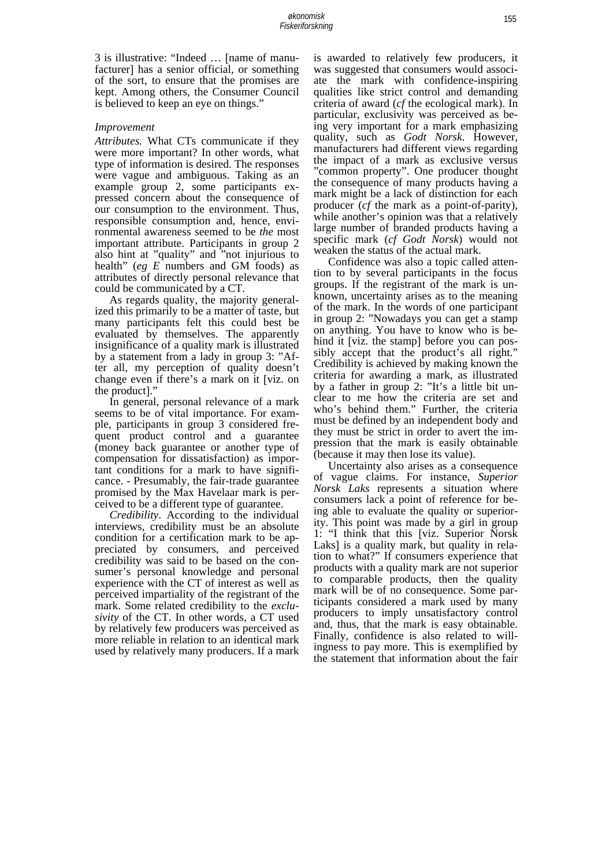3 is illustrative: "Indeed … [name of manufacturer] has a senior official, or something of the sort, to ensure that the promises are kept. Among others, the Consumer Council is believed to keep an eye on things."

#### *Improvement*

*Attributes.* What CTs communicate if they were more important? In other words, what type of information is desired. The responses were vague and ambiguous. Taking as an example group 2, some participants expressed concern about the consequence of our consumption to the environment. Thus, responsible consumption and, hence, environmental awareness seemed to be *the* most important attribute. Participants in group 2 also hint at "quality" and "not injurious to health" (*eg E* numbers and GM foods) as attributes of directly personal relevance that could be communicated by a CT.

 As regards quality, the majority generalized this primarily to be a matter of taste, but many participants felt this could best be evaluated by themselves. The apparently insignificance of a quality mark is illustrated by a statement from a lady in group 3: "After all, my perception of quality doesn't change even if there's a mark on it [viz. on the product]."

 In general, personal relevance of a mark seems to be of vital importance. For example, participants in group 3 considered frequent product control and a guarantee (money back guarantee or another type of compensation for dissatisfaction) as important conditions for a mark to have significance. - Presumably, the fair-trade guarantee promised by the Max Havelaar mark is perceived to be a different type of guarantee.

 *Credibility*. According to the individual interviews, credibility must be an absolute condition for a certification mark to be appreciated by consumers, and perceived credibility was said to be based on the consumer's personal knowledge and personal experience with the CT of interest as well as perceived impartiality of the registrant of the mark. Some related credibility to the *exclusivity* of the CT. In other words, a CT used by relatively few producers was perceived as more reliable in relation to an identical mark used by relatively many producers. If a mark

is awarded to relatively few producers, it was suggested that consumers would associate the mark with confidence-inspiring qualities like strict control and demanding criteria of award (*cf* the ecological mark). In particular, exclusivity was perceived as being very important for a mark emphasizing quality, such as *Godt Norsk*. However, manufacturers had different views regarding the impact of a mark as exclusive versus "common property". One producer thought the consequence of many products having a mark might be a lack of distinction for each producer (*cf* the mark as a point-of-parity), while another's opinion was that a relatively large number of branded products having a specific mark (*cf Godt Norsk*) would not weaken the status of the actual mark.

 Confidence was also a topic called attention to by several participants in the focus groups. If the registrant of the mark is unknown, uncertainty arises as to the meaning of the mark. In the words of one participant in group 2: "Nowadays you can get a stamp on anything. You have to know who is behind it [viz. the stamp] before you can possibly accept that the product's all right." Credibility is achieved by making known the criteria for awarding a mark, as illustrated by a father in group 2: "It's a little bit unclear to me how the criteria are set and who's behind them." Further, the criteria must be defined by an independent body and they must be strict in order to avert the impression that the mark is easily obtainable (because it may then lose its value).

 Uncertainty also arises as a consequence of vague claims. For instance, *Superior Norsk Laks* represents a situation where consumers lack a point of reference for being able to evaluate the quality or superiority. This point was made by a girl in group 1: "I think that this [viz. Superior Norsk Laks] is a quality mark, but quality in relation to what?" If consumers experience that products with a quality mark are not superior to comparable products, then the quality mark will be of no consequence. Some participants considered a mark used by many producers to imply unsatisfactory control and, thus, that the mark is easy obtainable. Finally, confidence is also related to willingness to pay more. This is exemplified by the statement that information about the fair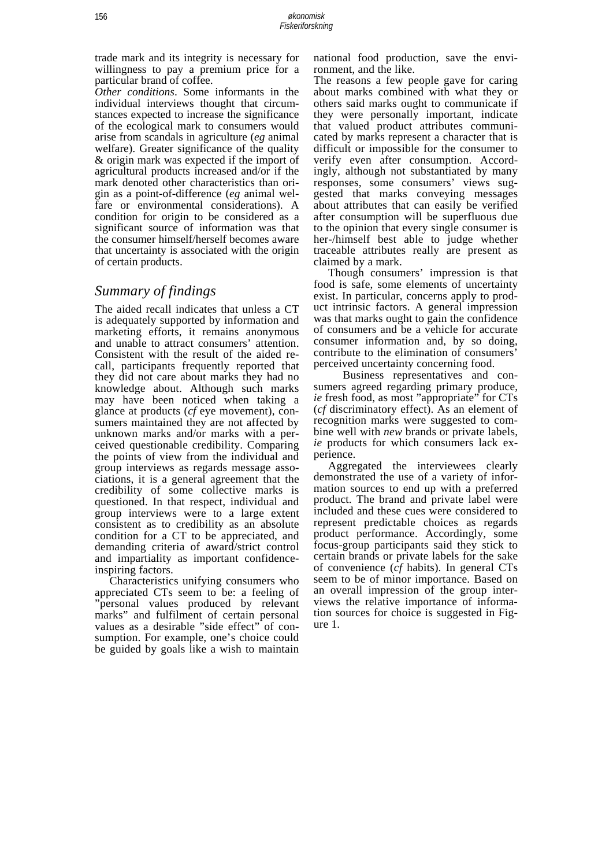trade mark and its integrity is necessary for willingness to pay a premium price for a particular brand of coffee.

*Other conditions*. Some informants in the individual interviews thought that circumstances expected to increase the significance of the ecological mark to consumers would arise from scandals in agriculture (*eg* animal welfare). Greater significance of the quality & origin mark was expected if the import of agricultural products increased and/or if the mark denoted other characteristics than origin as a point-of-difference (*eg* animal welfare or environmental considerations). A condition for origin to be considered as a significant source of information was that the consumer himself/herself becomes aware that uncertainty is associated with the origin of certain products.

### *Summary of findings*

The aided recall indicates that unless a CT is adequately supported by information and marketing efforts, it remains anonymous and unable to attract consumers' attention. Consistent with the result of the aided recall, participants frequently reported that they did not care about marks they had no knowledge about. Although such marks may have been noticed when taking a glance at products (*cf* eye movement), consumers maintained they are not affected by unknown marks and/or marks with a perceived questionable credibility. Comparing the points of view from the individual and group interviews as regards message associations, it is a general agreement that the credibility of some collective marks is questioned. In that respect, individual and group interviews were to a large extent consistent as to credibility as an absolute condition for a CT to be appreciated, and demanding criteria of award/strict control and impartiality as important confidenceinspiring factors.

 Characteristics unifying consumers who appreciated CTs seem to be: a feeling of "personal values produced by relevant marks" and fulfilment of certain personal values as a desirable "side effect" of consumption. For example, one's choice could be guided by goals like a wish to maintain national food production, save the environment, and the like.

The reasons a few people gave for caring about marks combined with what they or others said marks ought to communicate if they were personally important, indicate that valued product attributes communicated by marks represent a character that is difficult or impossible for the consumer to verify even after consumption. Accordingly, although not substantiated by many responses, some consumers' views suggested that marks conveying messages about attributes that can easily be verified after consumption will be superfluous due to the opinion that every single consumer is her-/himself best able to judge whether traceable attributes really are present as claimed by a mark.

 Though consumers' impression is that food is safe, some elements of uncertainty exist. In particular, concerns apply to product intrinsic factors. A general impression was that marks ought to gain the confidence of consumers and be a vehicle for accurate consumer information and, by so doing, contribute to the elimination of consumers' perceived uncertainty concerning food.

 Business representatives and consumers agreed regarding primary produce, *ie* fresh food, as most "appropriate" for CTs (*cf* discriminatory effect). As an element of recognition marks were suggested to combine well with *new* brands or private labels, *ie* products for which consumers lack experience.

 Aggregated the interviewees clearly demonstrated the use of a variety of information sources to end up with a preferred product. The brand and private label were included and these cues were considered to represent predictable choices as regards product performance. Accordingly, some focus-group participants said they stick to certain brands or private labels for the sake of convenience (*cf* habits). In general CTs seem to be of minor importance. Based on an overall impression of the group interviews the relative importance of information sources for choice is suggested in Figure 1.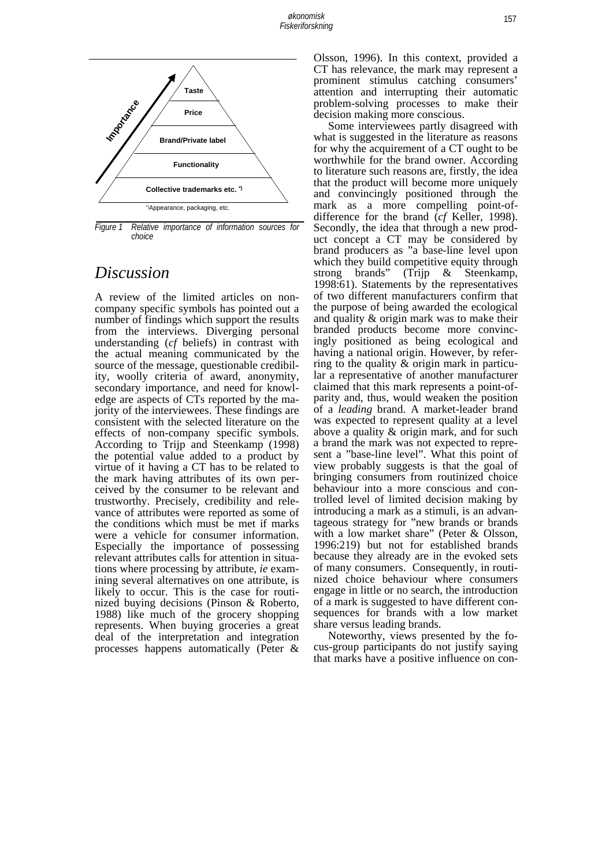

*Figure 1 Relative importance of information sources for choice* 

# *Discussion*

A review of the limited articles on noncompany specific symbols has pointed out a number of findings which support the results from the interviews. Diverging personal understanding (*cf* beliefs) in contrast with the actual meaning communicated by the source of the message, questionable credibility, woolly criteria of award, anonymity, secondary importance, and need for knowledge are aspects of CTs reported by the majority of the interviewees. These findings are consistent with the selected literature on the effects of non-company specific symbols. According to Trijp and Steenkamp (1998) the potential value added to a product by virtue of it having a CT has to be related to the mark having attributes of its own perceived by the consumer to be relevant and trustworthy. Precisely, credibility and relevance of attributes were reported as some of the conditions which must be met if marks were a vehicle for consumer information. Especially the importance of possessing relevant attributes calls for attention in situations where processing by attribute, *ie* examining several alternatives on one attribute, is likely to occur. This is the case for routinized buying decisions (Pinson & Roberto, 1988) like much of the grocery shopping represents. When buying groceries a great deal of the interpretation and integration processes happens automatically (Peter &

Olsson, 1996). In this context, provided a CT has relevance, the mark may represent a prominent stimulus catching consumers' attention and interrupting their automatic problem-solving processes to make their decision making more conscious.

 Some interviewees partly disagreed with what is suggested in the literature as reasons for why the acquirement of a CT ought to be worthwhile for the brand owner. According to literature such reasons are, firstly, the idea that the product will become more uniquely and convincingly positioned through the mark as a more compelling point-ofdifference for the brand (*cf* Keller, 1998). Secondly, the idea that through a new product concept a CT may be considered by brand producers as "a base-line level upon which they build competitive equity through strong brands" (Trijp & Steenkamp, 1998:61). Statements by the representatives of two different manufacturers confirm that the purpose of being awarded the ecological and quality & origin mark was to make their branded products become more convincingly positioned as being ecological and having a national origin. However, by referring to the quality & origin mark in particular a representative of another manufacturer claimed that this mark represents a point-ofparity and, thus, would weaken the position of a *leading* brand. A market-leader brand was expected to represent quality at a level above a quality & origin mark, and for such a brand the mark was not expected to represent a "base-line level". What this point of view probably suggests is that the goal of bringing consumers from routinized choice behaviour into a more conscious and controlled level of limited decision making by introducing a mark as a stimuli, is an advantageous strategy for "new brands or brands with a low market share" (Peter & Olsson, 1996:219) but not for established brands because they already are in the evoked sets of many consumers. Consequently, in routinized choice behaviour where consumers engage in little or no search, the introduction of a mark is suggested to have different consequences for brands with a low market share versus leading brands.

 Noteworthy, views presented by the focus-group participants do not justify saying that marks have a positive influence on con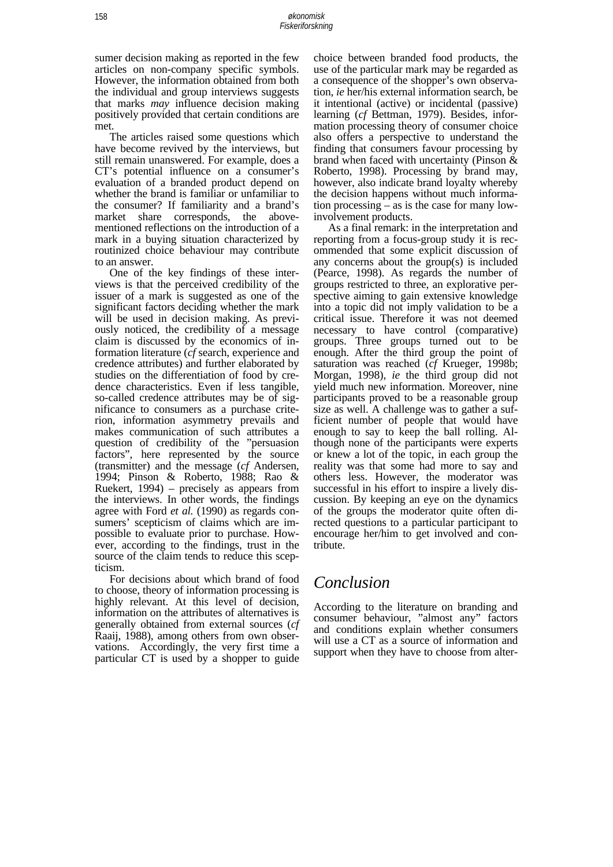sumer decision making as reported in the few articles on non-company specific symbols. However, the information obtained from both the individual and group interviews suggests that marks *may* influence decision making positively provided that certain conditions are met.

 The articles raised some questions which have become revived by the interviews, but still remain unanswered. For example, does a CT's potential influence on a consumer's evaluation of a branded product depend on whether the brand is familiar or unfamiliar to the consumer? If familiarity and a brand's market share corresponds, the abovementioned reflections on the introduction of a mark in a buying situation characterized by routinized choice behaviour may contribute to an answer.

 One of the key findings of these interviews is that the perceived credibility of the issuer of a mark is suggested as one of the significant factors deciding whether the mark will be used in decision making. As previously noticed, the credibility of a message claim is discussed by the economics of information literature (*cf* search, experience and credence attributes) and further elaborated by studies on the differentiation of food by credence characteristics. Even if less tangible, so-called credence attributes may be of significance to consumers as a purchase criterion, information asymmetry prevails and makes communication of such attributes a question of credibility of the "persuasion factors", here represented by the source (transmitter) and the message (*cf* Andersen, 1994; Pinson & Roberto, 1988; Rao & Ruekert, 1994) – precisely as appears from the interviews. In other words, the findings agree with Ford *et al.* (1990) as regards consumers' scepticism of claims which are impossible to evaluate prior to purchase. However, according to the findings, trust in the source of the claim tends to reduce this scepticism.

 For decisions about which brand of food to choose, theory of information processing is highly relevant. At this level of decision, information on the attributes of alternatives is generally obtained from external sources (*cf* Raaij, 1988), among others from own observations. Accordingly, the very first time a particular CT is used by a shopper to guide

choice between branded food products, the use of the particular mark may be regarded as a consequence of the shopper's own observation, *ie* her/his external information search, be it intentional (active) or incidental (passive) learning (*cf* Bettman, 1979). Besides, information processing theory of consumer choice also offers a perspective to understand the finding that consumers favour processing by brand when faced with uncertainty (Pinson & Roberto, 1998). Processing by brand may, however, also indicate brand loyalty whereby the decision happens without much information processing – as is the case for many lowinvolvement products.

 As a final remark: in the interpretation and reporting from a focus-group study it is recommended that some explicit discussion of any concerns about the group(s) is included (Pearce, 1998). As regards the number of groups restricted to three, an explorative perspective aiming to gain extensive knowledge into a topic did not imply validation to be a critical issue. Therefore it was not deemed necessary to have control (comparative) groups. Three groups turned out to be enough. After the third group the point of saturation was reached (*cf* Krueger, 1998b; Morgan, 1998), *ie* the third group did not yield much new information. Moreover, nine participants proved to be a reasonable group size as well. A challenge was to gather a sufficient number of people that would have enough to say to keep the ball rolling. Although none of the participants were experts or knew a lot of the topic, in each group the reality was that some had more to say and others less. However, the moderator was successful in his effort to inspire a lively discussion. By keeping an eye on the dynamics of the groups the moderator quite often directed questions to a particular participant to encourage her/him to get involved and contribute.

### *Conclusion*

According to the literature on branding and consumer behaviour, "almost any" factors and conditions explain whether consumers will use a CT as a source of information and support when they have to choose from alter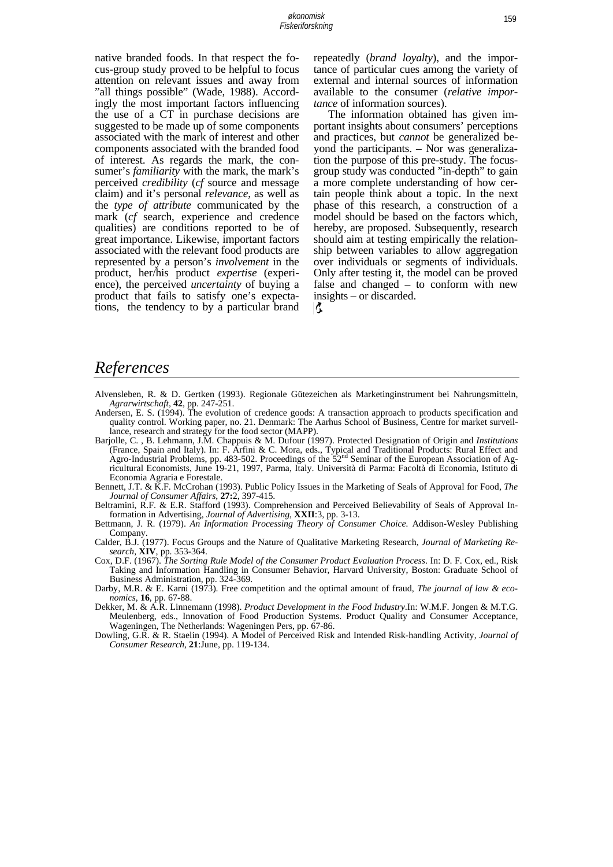native branded foods. In that respect the focus-group study proved to be helpful to focus attention on relevant issues and away from "all things possible" (Wade, 1988). Accordingly the most important factors influencing the use of a CT in purchase decisions are suggested to be made up of some components associated with the mark of interest and other components associated with the branded food of interest. As regards the mark, the consumer's *familiarity* with the mark, the mark's perceived *credibility* (*cf* source and message claim) and it's personal *relevance*, as well as the *type of attribute* communicated by the mark (*cf* search, experience and credence qualities) are conditions reported to be of great importance. Likewise, important factors associated with the relevant food products are represented by a person's *involvement* in the product, her/his product *expertise* (experience), the perceived *uncertainty* of buying a product that fails to satisfy one's expectations, the tendency to by a particular brand repeatedly (*brand loyalty*), and the importance of particular cues among the variety of external and internal sources of information available to the consumer (*relative importance* of information sources).

 The information obtained has given important insights about consumers' perceptions and practices, but *cannot* be generalized beyond the participants. – Nor was generalization the purpose of this pre-study. The focusgroup study was conducted "in-depth" to gain a more complete understanding of how certain people think about a topic. In the next phase of this research, a construction of a model should be based on the factors which, hereby, are proposed. Subsequently, research should aim at testing empirically the relationship between variables to allow aggregation over individuals or segments of individuals. Only after testing it, the model can be proved false and changed – to conform with new insights – or discarded.

Ç.

### *References*

- Alvensleben, R. & D. Gertken (1993). Regionale Gütezeichen als Marketinginstrument bei Nahrungsmitteln, *Agrarwirtschaft*, **42**, pp. 247-251.
- Andersen, E. S. (1994). The evolution of credence goods: A transaction approach to products specification and quality control. Working paper, no. 21. Denmark: The Aarhus School of Business, Centre for market surveillance, research and strategy for the food sector (MAPP).
- Barjolle, C. , B. Lehmann, J.M. Chappuis & M. Dufour (1997). Protected Designation of Origin and *Institutions* (France, Spain and Italy). In: F. Arfini & C. Mora, eds., Typical and Traditional Products: Rural Effect and Agro-Industrial Problems, pp. 483-502. Proceedings of the 52<sup>nd</sup> Seminar of the European Association of Agricultural Economists, June 19-21, 1997, Parma, Italy. Università di Parma: Facoltà di Economia, Istituto di Economia Agraria e Forestale.
- Bennett, J.T. & K.F. McCrohan (1993). Public Policy Issues in the Marketing of Seals of Approval for Food, *The Journal of Consumer Affairs*, **27:**2, 397-415.
- Beltramini, R.F. & E.R. Stafford (1993). Comprehension and Perceived Believability of Seals of Approval Information in Advertising, *Journal of Advertising*, **XXII**:3, pp. 3-13.
- Bettmann, J. R. (1979). *An Information Processing Theory of Consumer Choice.* Addison-Wesley Publishing Company.
- Calder, B.J. (1977). Focus Groups and the Nature of Qualitative Marketing Research, *Journal of Marketing Research*, **XIV**, pp. 353-364.
- Cox, D.F. (1967). *The Sorting Rule Model of the Consumer Product Evaluation Process*. In: D. F. Cox, ed., Risk Taking and Information Handling in Consumer Behavior, Harvard University, Boston: Graduate School of Business Administration, pp. 324-369.
- Darby, M.R. & E. Karni (1973). Free competition and the optimal amount of fraud, *The journal of law & economics*, **16**, pp. 67-88.
- Dekker, M. & A.R. Linnemann (1998). *Product Development in the Food Industry*.In: W.M.F. Jongen & M.T.G. Meulenberg, eds., Innovation of Food Production Systems. Product Quality and Consumer Acceptance, Wageningen, The Netherlands: Wageningen Pers, pp. 67-86.
- Dowling, G.R. & R. Staelin (1994). A Model of Perceived Risk and Intended Risk-handling Activity, *Journal of Consumer Research*, **21**:June, pp. 119-134.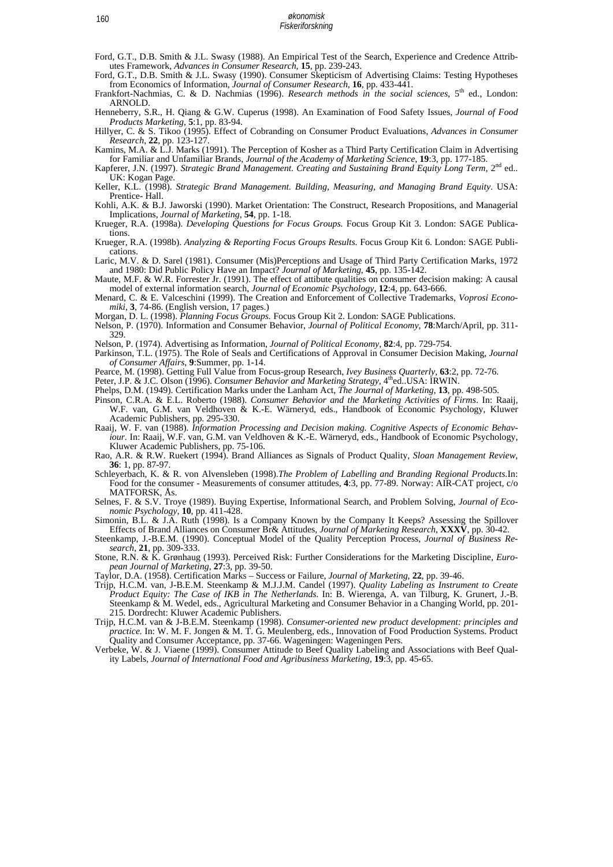- Ford, G.T., D.B. Smith & J.L. Swasy (1988). An Empirical Test of the Search, Experience and Credence Attributes Framework, *Advances in Consumer Research*, **15**, pp. 239-243.
- Ford, G.T., D.B. Smith & J.L. Swasy (1990). Consumer Skepticism of Advertising Claims: Testing Hypotheses from Economics of Information, *Journal of Consumer Research*, **16**, pp. 433-441.
- Frankfort-Nachmias, C. & D. Nachmias (1996). *Research methods in the social sciences*, 5<sup>th</sup> ed., London: ARNOLD.
- Henneberry, S.R., H. Qiang & G.W. Cuperus (1998). An Examination of Food Safety Issues, *Journal of Food Products Marketing*, **5**:1, pp. 83-94.
- Hillyer, C. & S. Tikoo (1995). Effect of Cobranding on Consumer Product Evaluations, *Advances in Consumer Research*, **22**, pp. 123-127.
- Kamins, M.A. & L.J. Marks (1991). The Perception of Kosher as a Third Party Certification Claim in Advertising for Familiar and Unfamiliar Brands, *Journal of the Academy of Marketing Science*, **19**:3, pp. 177-185.
- Kapferer, J.N. (1997). *Strategic Brand Management. Creating and Sustaining Brand Equity Long Term*, 2<sup>nd</sup> ed.. UK: Kogan Page.
- Keller, K.L. (1998). *Strategic Brand Management. Building, Measuring, and Managing Brand Equity*. USA: Prentice- Hall.
- Kohli, A.K. & B.J. Jaworski (1990). Market Orientation: The Construct, Research Propositions, and Managerial Implications, *Journal of Marketing*, **54**, pp. 1-18.
- Krueger, R.A. (1998a). *Developing Questions for Focus Groups.* Focus Group Kit 3. London: SAGE Publications.
- Krueger, R.A. (1998b). *Analyzing & Reporting Focus Groups Results.* Focus Group Kit 6. London: SAGE Publications.
- Laric, M.V. & D. Sarel (1981). Consumer (Mis)Perceptions and Usage of Third Party Certification Marks, 1972 and 1980: Did Public Policy Have an Impact? *Journal of Marketing*, **45**, pp. 135-142.
- Maute, M.F. & W.R. Forrester Jr. (1991). The effect of attibute qualities on consumer decision making: A causal model of external information search, *Journal of Economic Psychology*, **12**:4, pp. 643-666.
- Menard, C. & E. Valceschini (1999). The Creation and Enforcement of Collective Trademarks, *Voprosi Economiki*, **3**, 74-86. (English version, 17 pages.)
- Morgan, D. L. (1998). *Planning Focus Groups.* Focus Group Kit 2. London: SAGE Publications.
- Nelson, P. (1970). Information and Consumer Behavior, *Journal of Political Economy*, **78**:March/April, pp. 311- 329.
- Nelson, P. (1974). Advertising as Information, *Journal of Political Economy*, **82**:4, pp. 729-754.
- Parkinson, T.L. (1975). The Role of Seals and Certifications of Approval in Consumer Decision Making, *Journal of Consumer Affairs*, **9**:Summer, pp. 1-14.
- 
- Pearce, M. (1998). Getting Full Value from Focus-group Research, *Ivey Business Quarterly*, **63**:2, pp. 72-76. Peter, J.P. & J.C. Olson (1996). *Consumer Behavior and Marketing Strategy*, 4<sup>th</sup>ed..USA: IRWIN.
- Phelps, D.M. (1949). Certification Marks under the Lanham Act, *The Journal of Marketing*, **13**, pp. 498-505.
- Pinson, C.R.A. & E.L. Roberto (1988). *Consumer Behavior and the Marketing Activities of Firms*. In: Raaij, W.F. van, G.M. van Veldhoven & K.-E. Wärneryd, eds., Handbook of Economic Psychology, Kluwer Academic Publishers, pp. 295-330.
- Raaij, W. F. van (1988). *Information Processing and Decision making. Cognitive Aspects of Economic Behaviour.* In: Raaij, W.F. van, G.M. van Veldhoven & K.-E. Wärneryd, eds., Handbook of Economic Psychology, Kluwer Academic Publishers, pp. 75-106.
- Rao, A.R. & R.W. Ruekert (1994). Brand Alliances as Signals of Product Quality, *Sloan Management Review*, **36**: 1, pp. 87-97.
- Schleyerbach, K. & R. von Alvensleben (1998).*The Problem of Labelling and Branding Regional Products.*In: Food for the consumer - Measurements of consumer attitudes, **4**:3, pp. 77-89. Norway: AIR-CAT project, c/o MATFORSK, Ås. MATFORSK, As.<br>Selnes, F. & S.V. Troye (1989). Buying Expertise, Informational Search, and Problem Solving, *Journal of Eco-*
- *nomic Psychology*, **10**, pp. 411-428.
- Simonin, B.L. & J.A. Ruth (1998). Is a Company Known by the Company It Keeps? Assessing the Spillover
- Effects of Brand Alliances on Consumer Br& Attitudes, *Journal of Marketing Research*, **XXXV**, pp. 30-42. Steenkamp, J.-B.E.M. (1990). Conceptual Model of the Quality Perception Process, *Journal of Business Research*, **21**, pp. 309-333.
- Stone, R.N. & K. Grønhaug (1993). Perceived Risk: Further Considerations for the Marketing Discipline, *European Journal of Marketing*, **27**:3, pp. 39-50.
- Taylor, D.A. (1958). Certification Marks Success or Failure, *Journal of Marketing*, **22**, pp. 39-46.
- Trijp, H.C.M. van, J-B.E.M. Steenkamp & M.J.J.M. Candel (1997). *Quality Labeling as Instrument to Create Product Equity: The Case of IKB in The Netherlands*. In: B. Wierenga, A. van Tilburg, K. Grunert, J.-B. Steenkamp & M. Wedel, eds., Agricultural Marketing and Consumer Behavior in a Changing World, pp. 201- 215. Dordrecht: Kluwer Academic Publishers.
- Trijp, H.C.M. van & J-B.E.M. Steenkamp (1998). *Consumer-oriented new product development: principles and practice.* In: W. M. F. Jongen & M. T. G. Meulenberg, eds., Innovation of Food Production Systems. Product Quality and Consumer Acceptance, pp. 37-66. Wageningen: Wageningen Pers.
- Verbeke, W. & J. Viaene (1999). Consumer Attitude to Beef Quality Labeling and Associations with Beef Quality Labels, *Journal of International Food and Agribusiness Marketing*, **19**:3, pp. 45-65.